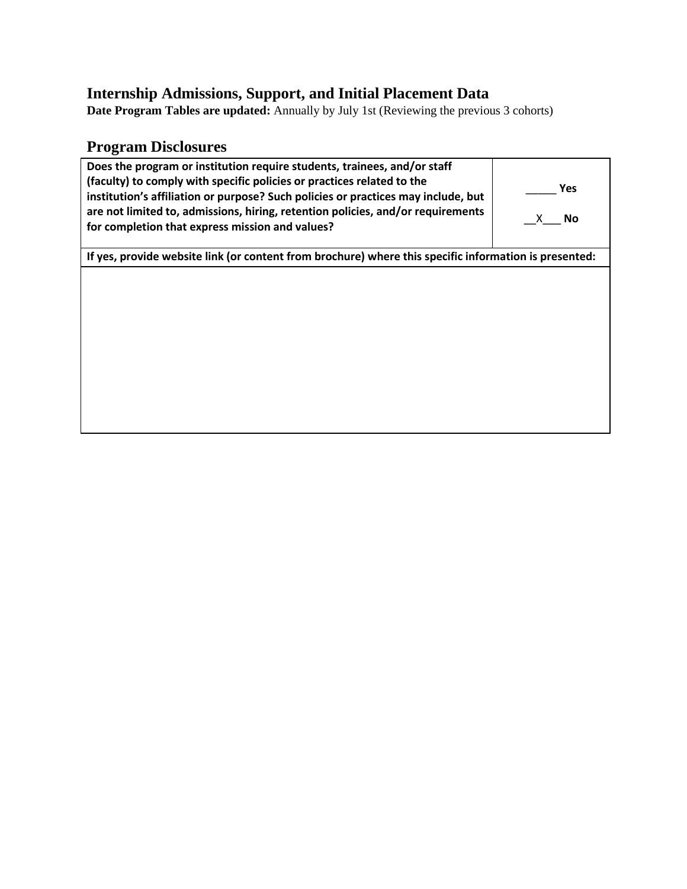# **Internship Admissions, Support, and Initial Placement Data**

**Date Program Tables are updated:** Annually by July 1st (Reviewing the previous 3 cohorts)

## **Program Disclosures**

| Does the program or institution require students, trainees, and/or staff<br>(faculty) to comply with specific policies or practices related to the<br>institution's affiliation or purpose? Such policies or practices may include, but<br>are not limited to, admissions, hiring, retention policies, and/or requirements<br>for completion that express mission and values? | <b>Yes</b><br>No<br>X. |  |  |  |  |  |
|-------------------------------------------------------------------------------------------------------------------------------------------------------------------------------------------------------------------------------------------------------------------------------------------------------------------------------------------------------------------------------|------------------------|--|--|--|--|--|
| If yes, provide website link (or content from brochure) where this specific information is presented:                                                                                                                                                                                                                                                                         |                        |  |  |  |  |  |
|                                                                                                                                                                                                                                                                                                                                                                               |                        |  |  |  |  |  |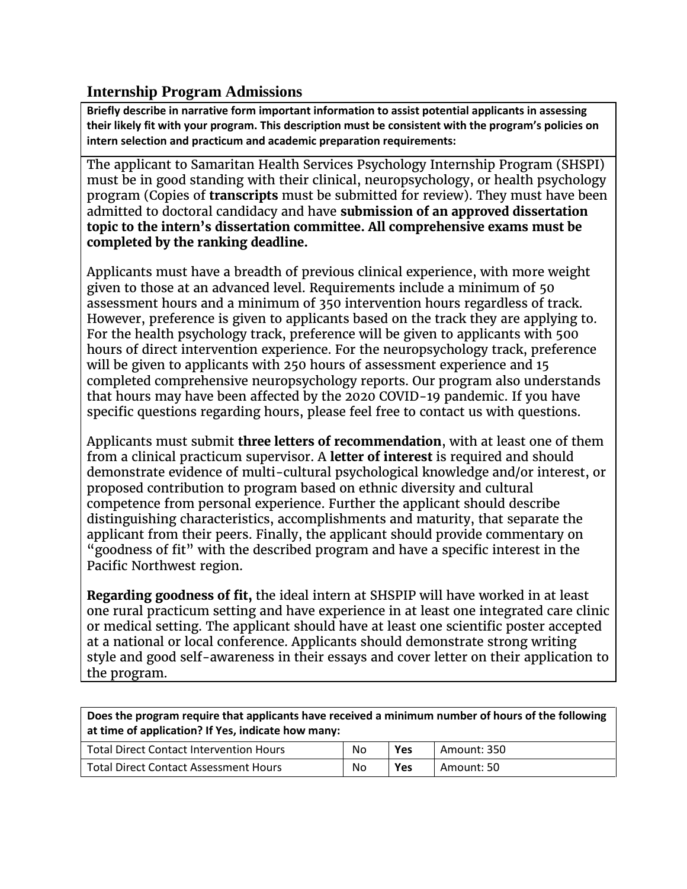### **Internship Program Admissions**

**Briefly describe in narrative form important information to assist potential applicants in assessing their likely fit with your program. This description must be consistent with the program's policies on intern selection and practicum and academic preparation requirements:**

The applicant to Samaritan Health Services Psychology Internship Program (SHSPI) must be in good standing with their clinical, neuropsychology, or health psychology program (Copies of **transcripts** must be submitted for review). They must have been admitted to doctoral candidacy and have **submission of an approved dissertation topic to the intern's dissertation committee. All comprehensive exams must be completed by the ranking deadline.**

Applicants must have a breadth of previous clinical experience, with more weight given to those at an advanced level. Requirements include a minimum of 50 assessment hours and a minimum of 350 intervention hours regardless of track. However, preference is given to applicants based on the track they are applying to. For the health psychology track, preference will be given to applicants with 500 hours of direct intervention experience. For the neuropsychology track, preference will be given to applicants with 250 hours of assessment experience and 15 completed comprehensive neuropsychology reports. Our program also understands that hours may have been affected by the 2020 COVID-19 pandemic. If you have specific questions regarding hours, please feel free to contact us with questions.

Applicants must submit **three letters of recommendation**, with at least one of them from a clinical practicum supervisor. A **letter of interest** is required and should demonstrate evidence of multi-cultural psychological knowledge and/or interest, or proposed contribution to program based on ethnic diversity and cultural competence from personal experience. Further the applicant should describe distinguishing characteristics, accomplishments and maturity, that separate the applicant from their peers. Finally, the applicant should provide commentary on "goodness of fit" with the described program and have a specific interest in the Pacific Northwest region.

**Regarding goodness of fit,** the ideal intern at SHSPIP will have worked in at least one rural practicum setting and have experience in at least one integrated care clinic or medical setting. The applicant should have at least one scientific poster accepted at a national or local conference. Applicants should demonstrate strong writing style and good self-awareness in their essays and cover letter on their application to the program.

**Does the program require that applicants have received a minimum number of hours of the following at time of application? If Yes, indicate how many:**

| Total Direct Contact Intervention Hours | No | Yes        | Amount: 350 |
|-----------------------------------------|----|------------|-------------|
| Total Direct Contact Assessment Hours   | No | <b>Yes</b> | Amount: 50  |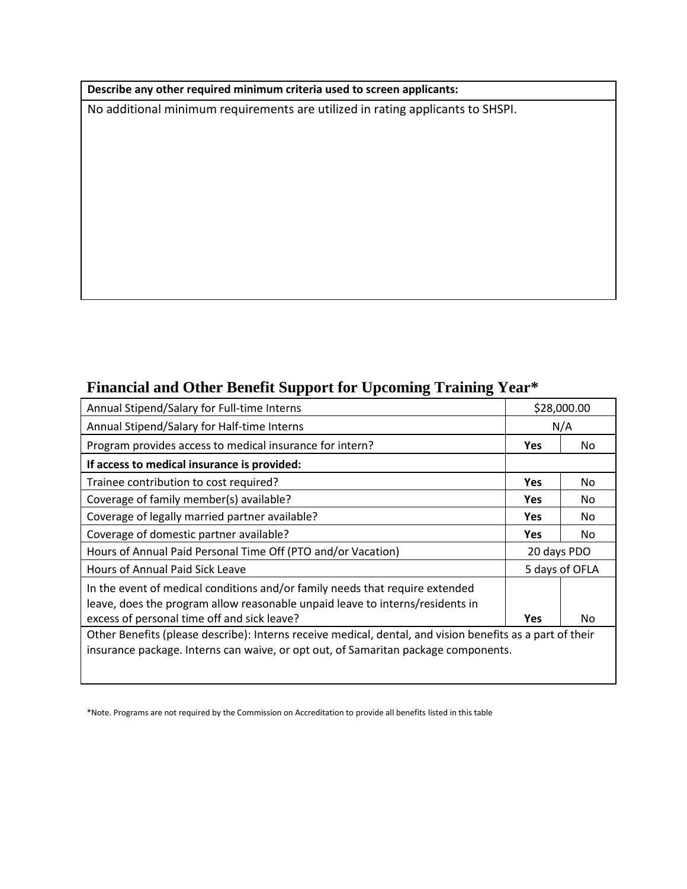#### **Describe any other required minimum criteria used to screen applicants:**

No additional minimum requirements are utilized in rating applicants to SHSPI.

## **Financial and Other Benefit Support for Upcoming Training Year\***

| Annual Stipend/Salary for Full-time Interns                                                                                                                                                                  |             | \$28,000.00    |  |  |
|--------------------------------------------------------------------------------------------------------------------------------------------------------------------------------------------------------------|-------------|----------------|--|--|
| Annual Stipend/Salary for Half-time Interns                                                                                                                                                                  |             | N/A            |  |  |
| Program provides access to medical insurance for intern?                                                                                                                                                     | <b>Yes</b>  | No.            |  |  |
| If access to medical insurance is provided:                                                                                                                                                                  |             |                |  |  |
| Trainee contribution to cost required?                                                                                                                                                                       | <b>Yes</b>  | No.            |  |  |
| Coverage of family member(s) available?                                                                                                                                                                      | Yes         | No.            |  |  |
| Coverage of legally married partner available?                                                                                                                                                               | <b>Yes</b>  | No.            |  |  |
| Coverage of domestic partner available?                                                                                                                                                                      | <b>Yes</b>  | No.            |  |  |
| Hours of Annual Paid Personal Time Off (PTO and/or Vacation)                                                                                                                                                 | 20 days PDO |                |  |  |
| <b>Hours of Annual Paid Sick Leave</b>                                                                                                                                                                       |             | 5 days of OFLA |  |  |
| In the event of medical conditions and/or family needs that require extended<br>leave, does the program allow reasonable unpaid leave to interns/residents in<br>excess of personal time off and sick leave? | <b>Yes</b>  | No             |  |  |
| Other Benefits (please describe): Interns receive medical, dental, and vision benefits as a part of their<br>insurance package. Interns can waive, or opt out, of Samaritan package components.              |             |                |  |  |

\*Note. Programs are not required by the Commission on Accreditation to provide all benefits listed in this table